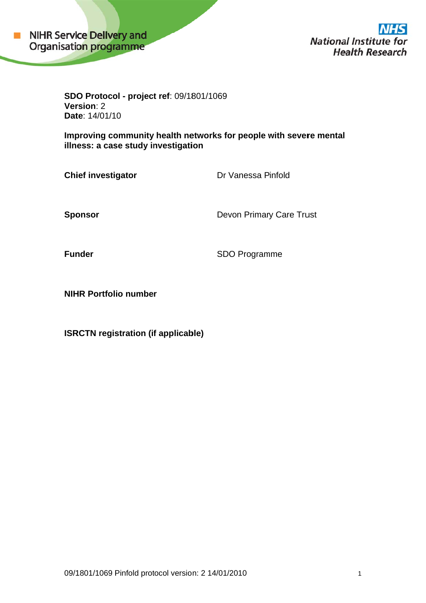

**National Institute for Health Research** 

**SDO O Protoco ol - project t ref**: 09/18 801/1069 **Ver rsion**: 2 **Date: 14/01/10** 

Improving community health networks for people with severe mental illness: a case study investigation

**Chief investigator** 

Dr Vanessa Pinfold

**Spo onsor** 

Devon Primary Care Trust

**Funder** 

SDO Programme

**NIHR Portfolio number** 

**ISRCTN registration (if applicable)**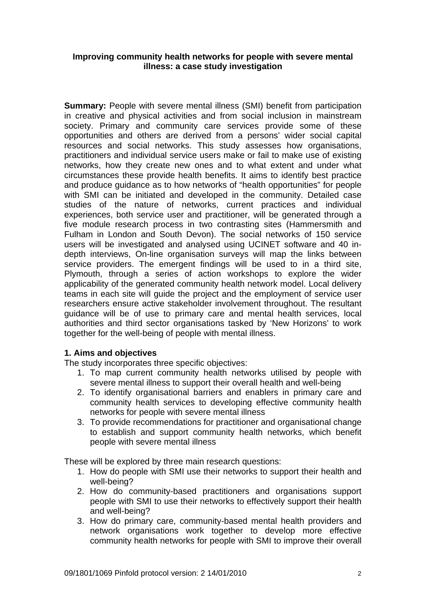### **Improving community health networks for people with severe mental illness: a case study investigation**

**Summary:** People with severe mental illness (SMI) benefit from participation in creative and physical activities and from social inclusion in mainstream society. Primary and community care services provide some of these opportunities and others are derived from a persons' wider social capital resources and social networks. This study assesses how organisations, practitioners and individual service users make or fail to make use of existing networks, how they create new ones and to what extent and under what circumstances these provide health benefits. It aims to identify best practice and produce guidance as to how networks of "health opportunities" for people with SMI can be initiated and developed in the community. Detailed case studies of the nature of networks, current practices and individual experiences, both service user and practitioner, will be generated through a five module research process in two contrasting sites (Hammersmith and Fulham in London and South Devon). The social networks of 150 service users will be investigated and analysed using UCINET software and 40 indepth interviews, On-line organisation surveys will map the links between service providers. The emergent findings will be used to in a third site, Plymouth, through a series of action workshops to explore the wider applicability of the generated community health network model. Local delivery teams in each site will guide the project and the employment of service user researchers ensure active stakeholder involvement throughout. The resultant guidance will be of use to primary care and mental health services, local authorities and third sector organisations tasked by 'New Horizons' to work together for the well-being of people with mental illness.

### **1. Aims and objectives**

The study incorporates three specific objectives:

- 1. To map current community health networks utilised by people with severe mental illness to support their overall health and well-being
- 2. To identify organisational barriers and enablers in primary care and community health services to developing effective community health networks for people with severe mental illness
- 3. To provide recommendations for practitioner and organisational change to establish and support community health networks, which benefit people with severe mental illness

These will be explored by three main research questions:

- 1. How do people with SMI use their networks to support their health and well-being?
- 2. How do community-based practitioners and organisations support people with SMI to use their networks to effectively support their health and well-being?
- 3. How do primary care, community-based mental health providers and network organisations work together to develop more effective community health networks for people with SMI to improve their overall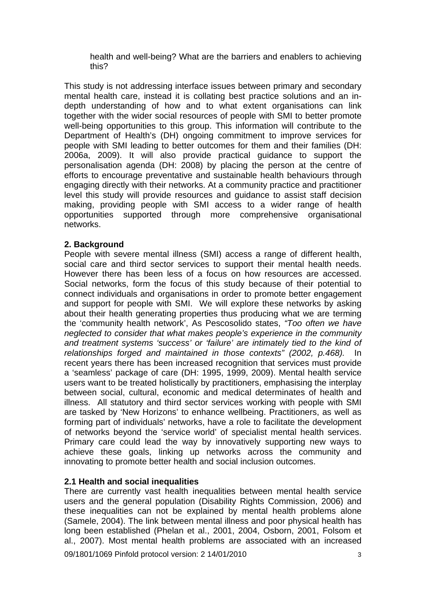health and well-being? What are the barriers and enablers to achieving this?

This study is not addressing interface issues between primary and secondary mental health care, instead it is collating best practice solutions and an indepth understanding of how and to what extent organisations can link together with the wider social resources of people with SMI to better promote well-being opportunities to this group. This information will contribute to the Department of Health's (DH) ongoing commitment to improve services for people with SMI leading to better outcomes for them and their families (DH: 2006a, 2009). It will also provide practical guidance to support the personalisation agenda (DH: 2008) by placing the person at the centre of efforts to encourage preventative and sustainable health behaviours through engaging directly with their networks. At a community practice and practitioner level this study will provide resources and guidance to assist staff decision making, providing people with SMI access to a wider range of health opportunities supported through more comprehensive organisational networks.

### **2. Background**

People with severe mental illness (SMI) access a range of different health, social care and third sector services to support their mental health needs. However there has been less of a focus on how resources are accessed. Social networks, form the focus of this study because of their potential to connect individuals and organisations in order to promote better engagement and support for people with SMI. We will explore these networks by asking about their health generating properties thus producing what we are terming the 'community health network', As Pescosolido states, *"Too often we have neglected to consider that what makes people's experience in the community and treatment systems 'success' or 'failure' are intimately tied to the kind of relationships forged and maintained in those contexts" (2002, p.468).* In recent years there has been increased recognition that services must provide a 'seamless' package of care (DH: 1995, 1999, 2009). Mental health service users want to be treated holistically by practitioners, emphasising the interplay between social, cultural, economic and medical determinates of health and illness. All statutory and third sector services working with people with SMI are tasked by 'New Horizons' to enhance wellbeing. Practitioners, as well as forming part of individuals' networks, have a role to facilitate the development of networks beyond the 'service world' of specialist mental health services. Primary care could lead the way by innovatively supporting new ways to achieve these goals, linking up networks across the community and innovating to promote better health and social inclusion outcomes.

### **2.1 Health and social inequalities**

There are currently vast health inequalities between mental health service users and the general population (Disability Rights Commission, 2006) and these inequalities can not be explained by mental health problems alone (Samele, 2004). The link between mental illness and poor physical health has long been established (Phelan et al., 2001, 2004, Osborn, 2001, Folsom et al., 2007). Most mental health problems are associated with an increased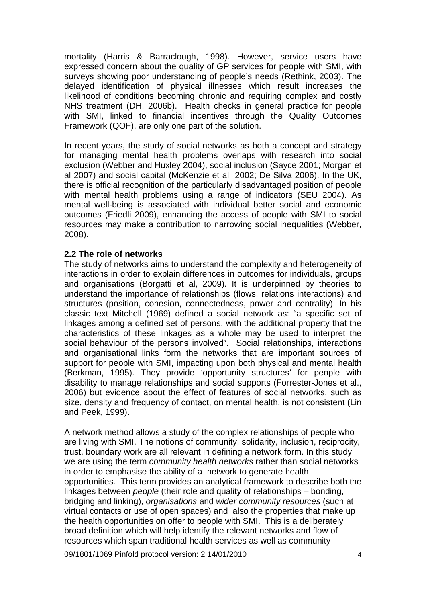mortality (Harris & Barraclough, 1998). However, service users have expressed concern about the quality of GP services for people with SMI, with surveys showing poor understanding of people's needs (Rethink, 2003). The delayed identification of physical illnesses which result increases the likelihood of conditions becoming chronic and requiring complex and costly NHS treatment (DH, 2006b). Health checks in general practice for people with SMI, linked to financial incentives through the Quality Outcomes Framework (QOF), are only one part of the solution.

In recent years, the study of social networks as both a concept and strategy for managing mental health problems overlaps with research into social exclusion (Webber and Huxley 2004), social inclusion (Sayce 2001; Morgan et al 2007) and social capital (McKenzie et al 2002; De Silva 2006). In the UK, there is official recognition of the particularly disadvantaged position of people with mental health problems using a range of indicators (SEU 2004). As mental well-being is associated with individual better social and economic outcomes (Friedli 2009), enhancing the access of people with SMI to social resources may make a contribution to narrowing social inequalities (Webber, 2008).

### **2.2 The role of networks**

The study of networks aims to understand the complexity and heterogeneity of interactions in order to explain differences in outcomes for individuals, groups and organisations (Borgatti et al, 2009). It is underpinned by theories to understand the importance of relationships (flows, relations interactions) and structures (position, cohesion, connectedness, power and centrality). In his classic text Mitchell (1969) defined a social network as: "a specific set of linkages among a defined set of persons, with the additional property that the characteristics of these linkages as a whole may be used to interpret the social behaviour of the persons involved". Social relationships, interactions and organisational links form the networks that are important sources of support for people with SMI, impacting upon both physical and mental health (Berkman, 1995). They provide 'opportunity structures' for people with disability to manage relationships and social supports (Forrester-Jones et al., 2006) but evidence about the effect of features of social networks, such as size, density and frequency of contact, on mental health, is not consistent (Lin and Peek, 1999).

A network method allows a study of the complex relationships of people who are living with SMI. The notions of community, solidarity, inclusion, reciprocity, trust, boundary work are all relevant in defining a network form. In this study we are using the term *community health networks* rather than social networks in order to emphasise the ability of a network to generate health opportunities. This term provides an analytical framework to describe both the linkages between *people* (their role and quality of relationships – bonding, bridging and linking), *organisations* and *wider community resources* (such at virtual contacts or use of open spaces) and also the properties that make up the health opportunities on offer to people with SMI. This is a deliberately broad definition which will help identify the relevant networks and flow of resources which span traditional health services as well as community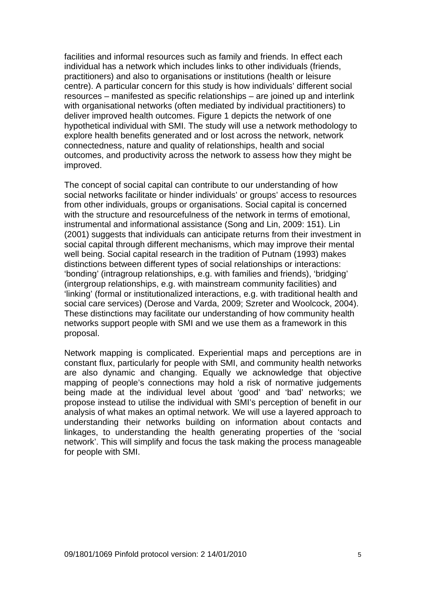facilities and informal resources such as family and friends. In effect each individual has a network which includes links to other individuals (friends, practitioners) and also to organisations or institutions (health or leisure centre). A particular concern for this study is how individuals' different social resources – manifested as specific relationships – are joined up and interlink with organisational networks (often mediated by individual practitioners) to deliver improved health outcomes. Figure 1 depicts the network of one hypothetical individual with SMI. The study will use a network methodology to explore health benefits generated and or lost across the network, network connectedness, nature and quality of relationships, health and social outcomes, and productivity across the network to assess how they might be improved.

The concept of social capital can contribute to our understanding of how social networks facilitate or hinder individuals' or groups' access to resources from other individuals, groups or organisations. Social capital is concerned with the structure and resourcefulness of the network in terms of emotional, instrumental and informational assistance (Song and Lin, 2009: 151). Lin (2001) suggests that individuals can anticipate returns from their investment in social capital through different mechanisms, which may improve their mental well being. Social capital research in the tradition of Putnam (1993) makes distinctions between different types of social relationships or interactions: 'bonding' (intragroup relationships, e.g. with families and friends), 'bridging' (intergroup relationships, e.g. with mainstream community facilities) and 'linking' (formal or institutionalized interactions, e.g. with traditional health and social care services) (Derose and Varda, 2009; Szreter and Woolcock, 2004). These distinctions may facilitate our understanding of how community health networks support people with SMI and we use them as a framework in this proposal.

Network mapping is complicated. Experiential maps and perceptions are in constant flux, particularly for people with SMI, and community health networks are also dynamic and changing. Equally we acknowledge that objective mapping of people's connections may hold a risk of normative judgements being made at the individual level about 'good' and 'bad' networks; we propose instead to utilise the individual with SMI's perception of benefit in our analysis of what makes an optimal network. We will use a layered approach to understanding their networks building on information about contacts and linkages, to understanding the health generating properties of the 'social network'. This will simplify and focus the task making the process manageable for people with SMI.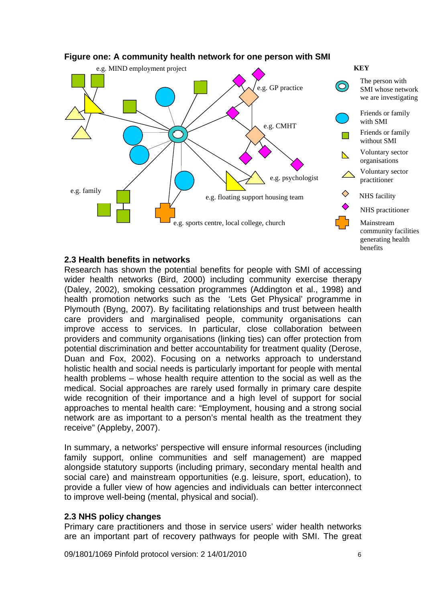

## **Figure one: A community health network for one person with SMI**

### **2.3 Health benefits in networks**

Research has shown the potential benefits for people with SMI of accessing wider health networks (Bird, 2000) including community exercise therapy (Daley, 2002), smoking cessation programmes (Addington et al., 1998) and health promotion networks such as the 'Lets Get Physical' programme in Plymouth (Byng, 2007). By facilitating relationships and trust between health care providers and marginalised people, community organisations can improve access to services. In particular, close collaboration between providers and community organisations (linking ties) can offer protection from potential discrimination and better accountability for treatment quality (Derose, Duan and Fox, 2002). Focusing on a networks approach to understand holistic health and social needs is particularly important for people with mental health problems – whose health require attention to the social as well as the medical. Social approaches are rarely used formally in primary care despite wide recognition of their importance and a high level of support for social approaches to mental health care: "Employment, housing and a strong social network are as important to a person's mental health as the treatment they receive" (Appleby, 2007).

In summary, a networks' perspective will ensure informal resources (including family support, online communities and self management) are mapped alongside statutory supports (including primary, secondary mental health and social care) and mainstream opportunities (e.g. leisure, sport, education), to provide a fuller view of how agencies and individuals can better interconnect to improve well-being (mental, physical and social).

### **2.3 NHS policy changes**

Primary care practitioners and those in service users' wider health networks are an important part of recovery pathways for people with SMI. The great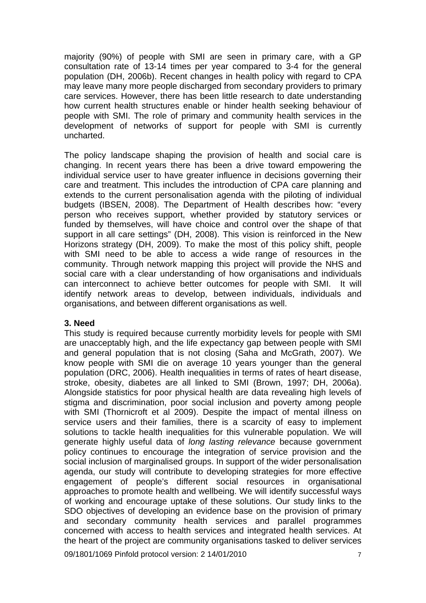majority (90%) of people with SMI are seen in primary care, with a GP consultation rate of 13-14 times per year compared to 3-4 for the general population (DH, 2006b). Recent changes in health policy with regard to CPA may leave many more people discharged from secondary providers to primary care services. However, there has been little research to date understanding how current health structures enable or hinder health seeking behaviour of people with SMI. The role of primary and community health services in the development of networks of support for people with SMI is currently uncharted.

The policy landscape shaping the provision of health and social care is changing. In recent years there has been a drive toward empowering the individual service user to have greater influence in decisions governing their care and treatment. This includes the introduction of CPA care planning and extends to the current personalisation agenda with the piloting of individual budgets (IBSEN, 2008). The Department of Health describes how: "every person who receives support, whether provided by statutory services or funded by themselves, will have choice and control over the shape of that support in all care settings" (DH, 2008). This vision is reinforced in the New Horizons strategy (DH, 2009). To make the most of this policy shift, people with SMI need to be able to access a wide range of resources in the community. Through network mapping this project will provide the NHS and social care with a clear understanding of how organisations and individuals can interconnect to achieve better outcomes for people with SMI. It will identify network areas to develop, between individuals, individuals and organisations, and between different organisations as well.

### **3. Need**

This study is required because currently morbidity levels for people with SMI are unacceptably high, and the life expectancy gap between people with SMI and general population that is not closing (Saha and McGrath, 2007). We know people with SMI die on average 10 years younger than the general population (DRC, 2006). Health inequalities in terms of rates of heart disease, stroke, obesity, diabetes are all linked to SMI (Brown, 1997; DH, 2006a). Alongside statistics for poor physical health are data revealing high levels of stigma and discrimination, poor social inclusion and poverty among people with SMI (Thornicroft et al 2009). Despite the impact of mental illness on service users and their families, there is a scarcity of easy to implement solutions to tackle health inequalities for this vulnerable population. We will generate highly useful data of *long lasting relevance* because government policy continues to encourage the integration of service provision and the social inclusion of marginalised groups. In support of the wider personalisation agenda, our study will contribute to developing strategies for more effective engagement of people's different social resources in organisational approaches to promote health and wellbeing. We will identify successful ways of working and encourage uptake of these solutions. Our study links to the SDO objectives of developing an evidence base on the provision of primary and secondary community health services and parallel programmes concerned with access to health services and integrated health services. At the heart of the project are community organisations tasked to deliver services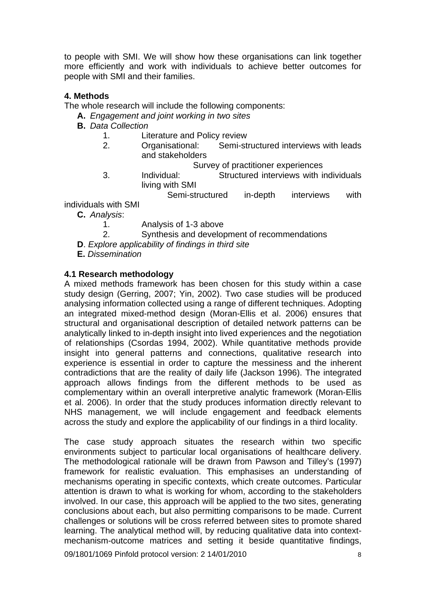to people with SMI. We will show how these organisations can link together more efficiently and work with individuals to achieve better outcomes for people with SMI and their families.

## **4. Methods**

The whole research will include the following components:

- **A.** *Engagement and joint working in two sites*
- **B.** *Data Collection* 
	- 1. Literature and Policy review
	- 2. Organisational: Semi-structured interviews with leads and stakeholders
		- Survey of practitioner experiences
	- 3. Individual: Structured interviews with individuals living with SMI

Semi-structured in-depth interviews with

individuals with SMI

**C.** *Analysis*:

- 1. Analysis of 1-3 above
- 2. Synthesis and development of recommendations
- **D**. *Explore applicability of findings in third site*
- **E.** *Dissemination*

### **4.1 Research methodology**

A mixed methods framework has been chosen for this study within a case study design (Gerring, 2007; Yin, 2002). Two case studies will be produced analysing information collected using a range of different techniques. Adopting an integrated mixed-method design (Moran-Ellis et al. 2006) ensures that structural and organisational description of detailed network patterns can be analytically linked to in-depth insight into lived experiences and the negotiation of relationships (Csordas 1994, 2002). While quantitative methods provide insight into general patterns and connections, qualitative research into experience is essential in order to capture the messiness and the inherent contradictions that are the reality of daily life (Jackson 1996). The integrated approach allows findings from the different methods to be used as complementary within an overall interpretive analytic framework (Moran-Ellis et al. 2006). In order that the study produces information directly relevant to NHS management, we will include engagement and feedback elements across the study and explore the applicability of our findings in a third locality.

The case study approach situates the research within two specific environments subject to particular local organisations of healthcare delivery. The methodological rationale will be drawn from Pawson and Tilley's (1997) framework for realistic evaluation. This emphasises an understanding of mechanisms operating in specific contexts, which create outcomes. Particular attention is drawn to what is working for whom, according to the stakeholders involved. In our case, this approach will be applied to the two sites, generating conclusions about each, but also permitting comparisons to be made. Current challenges or solutions will be cross referred between sites to promote shared learning. The analytical method will, by reducing qualitative data into contextmechanism-outcome matrices and setting it beside quantitative findings,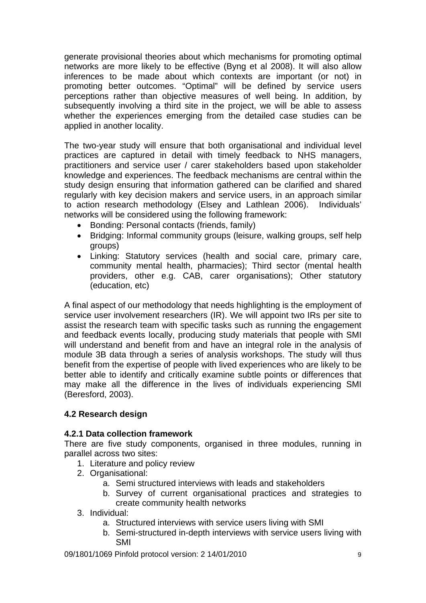generate provisional theories about which mechanisms for promoting optimal networks are more likely to be effective (Byng et al 2008). It will also allow inferences to be made about which contexts are important (or not) in promoting better outcomes. "Optimal" will be defined by service users perceptions rather than objective measures of well being. In addition, by subsequently involving a third site in the project, we will be able to assess whether the experiences emerging from the detailed case studies can be applied in another locality.

The two-year study will ensure that both organisational and individual level practices are captured in detail with timely feedback to NHS managers, practitioners and service user / carer stakeholders based upon stakeholder knowledge and experiences. The feedback mechanisms are central within the study design ensuring that information gathered can be clarified and shared regularly with key decision makers and service users, in an approach similar to action research methodology (Elsey and Lathlean 2006). Individuals' networks will be considered using the following framework:

- Bonding: Personal contacts (friends, family)
- Bridging: Informal community groups (leisure, walking groups, self help groups)
- Linking: Statutory services (health and social care, primary care, community mental health, pharmacies); Third sector (mental health providers, other e.g. CAB, carer organisations); Other statutory (education, etc)

A final aspect of our methodology that needs highlighting is the employment of service user involvement researchers (IR). We will appoint two IRs per site to assist the research team with specific tasks such as running the engagement and feedback events locally, producing study materials that people with SMI will understand and benefit from and have an integral role in the analysis of module 3B data through a series of analysis workshops. The study will thus benefit from the expertise of people with lived experiences who are likely to be better able to identify and critically examine subtle points or differences that may make all the difference in the lives of individuals experiencing SMI (Beresford, 2003).

# **4.2 Research design**

# **4.2.1 Data collection framework**

There are five study components, organised in three modules, running in parallel across two sites:

- 1. Literature and policy review
- 2. Organisational:
	- a. Semi structured interviews with leads and stakeholders
	- b. Survey of current organisational practices and strategies to create community health networks
- 3. Individual:
	- a. Structured interviews with service users living with SMI
	- b. Semi-structured in-depth interviews with service users living with SMI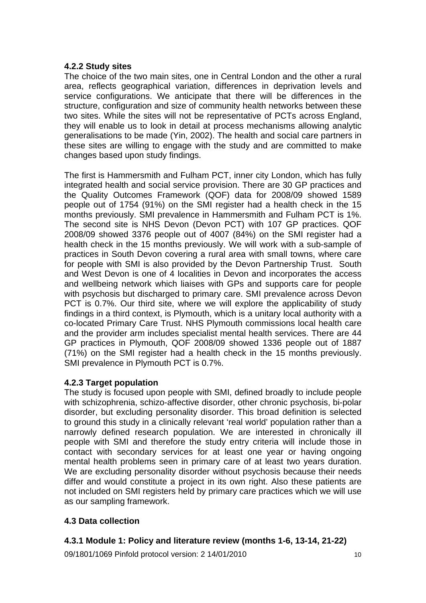## **4.2.2 Study sites**

The choice of the two main sites, one in Central London and the other a rural area, reflects geographical variation, differences in deprivation levels and service configurations. We anticipate that there will be differences in the structure, configuration and size of community health networks between these two sites. While the sites will not be representative of PCTs across England, they will enable us to look in detail at process mechanisms allowing analytic generalisations to be made (Yin, 2002). The health and social care partners in these sites are willing to engage with the study and are committed to make changes based upon study findings.

The first is Hammersmith and Fulham PCT, inner city London, which has fully integrated health and social service provision. There are 30 GP practices and the Quality Outcomes Framework (QOF) data for 2008/09 showed 1589 people out of 1754 (91%) on the SMI register had a health check in the 15 months previously. SMI prevalence in Hammersmith and Fulham PCT is 1%. The second site is NHS Devon (Devon PCT) with 107 GP practices. QOF 2008/09 showed 3376 people out of 4007 (84%) on the SMI register had a health check in the 15 months previously. We will work with a sub-sample of practices in South Devon covering a rural area with small towns, where care for people with SMI is also provided by the Devon Partnership Trust. South and West Devon is one of 4 localities in Devon and incorporates the access and wellbeing network which liaises with GPs and supports care for people with psychosis but discharged to primary care. SMI prevalence across Devon PCT is 0.7%. Our third site, where we will explore the applicability of study findings in a third context, is Plymouth, which is a unitary local authority with a co-located Primary Care Trust. NHS Plymouth commissions local health care and the provider arm includes specialist mental health services. There are 44 GP practices in Plymouth, QOF 2008/09 showed 1336 people out of 1887 (71%) on the SMI register had a health check in the 15 months previously. SMI prevalence in Plymouth PCT is 0.7%.

# **4.2.3 Target population**

The study is focused upon people with SMI, defined broadly to include people with schizophrenia, schizo-affective disorder, other chronic psychosis, bi-polar disorder, but excluding personality disorder. This broad definition is selected to ground this study in a clinically relevant 'real world' population rather than a narrowly defined research population. We are interested in chronically ill people with SMI and therefore the study entry criteria will include those in contact with secondary services for at least one year or having ongoing mental health problems seen in primary care of at least two years duration. We are excluding personality disorder without psychosis because their needs differ and would constitute a project in its own right. Also these patients are not included on SMI registers held by primary care practices which we will use as our sampling framework.

# **4.3 Data collection**

# **4.3.1 Module 1: Policy and literature review (months 1-6, 13-14, 21-22)**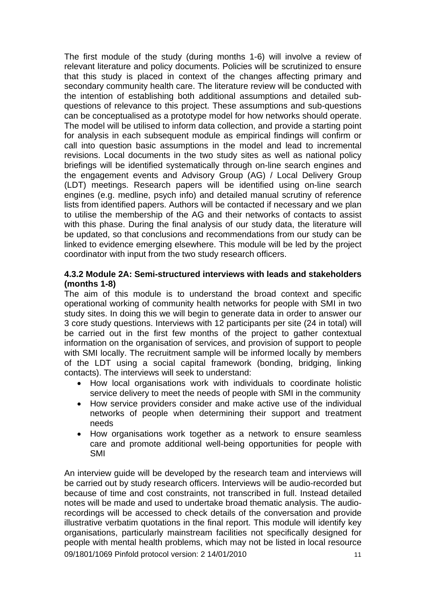The first module of the study (during months 1-6) will involve a review of relevant literature and policy documents. Policies will be scrutinized to ensure that this study is placed in context of the changes affecting primary and secondary community health care. The literature review will be conducted with the intention of establishing both additional assumptions and detailed subquestions of relevance to this project. These assumptions and sub-questions can be conceptualised as a prototype model for how networks should operate. The model will be utilised to inform data collection, and provide a starting point for analysis in each subsequent module as empirical findings will confirm or call into question basic assumptions in the model and lead to incremental revisions. Local documents in the two study sites as well as national policy briefings will be identified systematically through on-line search engines and the engagement events and Advisory Group (AG) / Local Delivery Group (LDT) meetings. Research papers will be identified using on-line search engines (e.g. medline, psych info) and detailed manual scrutiny of reference lists from identified papers. Authors will be contacted if necessary and we plan to utilise the membership of the AG and their networks of contacts to assist with this phase. During the final analysis of our study data, the literature will be updated, so that conclusions and recommendations from our study can be linked to evidence emerging elsewhere. This module will be led by the project coordinator with input from the two study research officers.

### **4.3.2 Module 2A: Semi-structured interviews with leads and stakeholders (months 1-8)**

The aim of this module is to understand the broad context and specific operational working of community health networks for people with SMI in two study sites. In doing this we will begin to generate data in order to answer our 3 core study questions. Interviews with 12 participants per site (24 in total) will be carried out in the first few months of the project to gather contextual information on the organisation of services, and provision of support to people with SMI locally. The recruitment sample will be informed locally by members of the LDT using a social capital framework (bonding, bridging, linking contacts). The interviews will seek to understand:

- How local organisations work with individuals to coordinate holistic service delivery to meet the needs of people with SMI in the community
- How service providers consider and make active use of the individual networks of people when determining their support and treatment needs
- How organisations work together as a network to ensure seamless care and promote additional well-being opportunities for people with SMI

09/1801/1069 Pinfold protocol version: 2 14/01/2010 An interview guide will be developed by the research team and interviews will be carried out by study research officers. Interviews will be audio-recorded but because of time and cost constraints, not transcribed in full. Instead detailed notes will be made and used to undertake broad thematic analysis. The audiorecordings will be accessed to check details of the conversation and provide illustrative verbatim quotations in the final report. This module will identify key organisations, particularly mainstream facilities not specifically designed for people with mental health problems, which may not be listed in local resource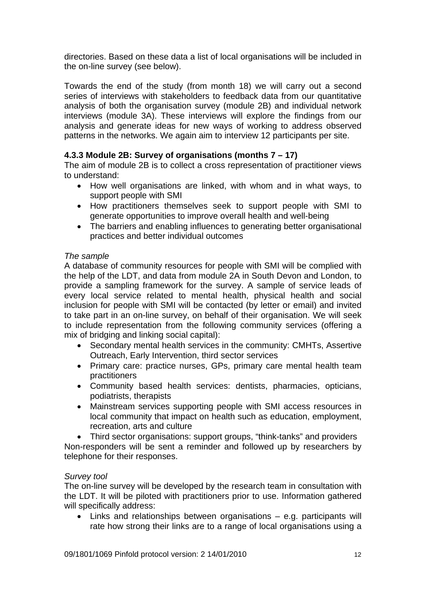directories. Based on these data a list of local organisations will be included in the on-line survey (see below).

Towards the end of the study (from month 18) we will carry out a second series of interviews with stakeholders to feedback data from our quantitative analysis of both the organisation survey (module 2B) and individual network interviews (module 3A). These interviews will explore the findings from our analysis and generate ideas for new ways of working to address observed patterns in the networks. We again aim to interview 12 participants per site.

# **4.3.3 Module 2B: Survey of organisations (months 7 – 17)**

The aim of module 2B is to collect a cross representation of practitioner views to understand:

- How well organisations are linked, with whom and in what ways, to support people with SMI
- How practitioners themselves seek to support people with SMI to generate opportunities to improve overall health and well-being
- The barriers and enabling influences to generating better organisational practices and better individual outcomes

### *The sample*

A database of community resources for people with SMI will be complied with the help of the LDT, and data from module 2A in South Devon and London, to provide a sampling framework for the survey. A sample of service leads of every local service related to mental health, physical health and social inclusion for people with SMI will be contacted (by letter or email) and invited to take part in an on-line survey, on behalf of their organisation. We will seek to include representation from the following community services (offering a mix of bridging and linking social capital):

- Secondary mental health services in the community: CMHTs, Assertive Outreach, Early Intervention, third sector services
- Primary care: practice nurses, GPs, primary care mental health team practitioners
- Community based health services: dentists, pharmacies, opticians, podiatrists, therapists
- Mainstream services supporting people with SMI access resources in local community that impact on health such as education, employment, recreation, arts and culture

• Third sector organisations: support groups, "think-tanks" and providers Non-responders will be sent a reminder and followed up by researchers by telephone for their responses.

### *Survey tool*

The on-line survey will be developed by the research team in consultation with the LDT. It will be piloted with practitioners prior to use. Information gathered will specifically address:

 Links and relationships between organisations – e.g. participants will rate how strong their links are to a range of local organisations using a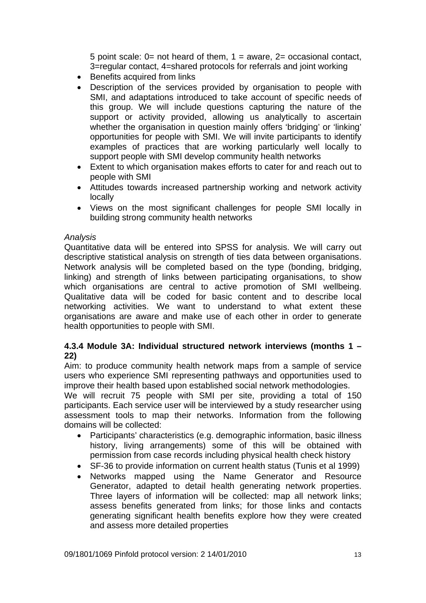5 point scale:  $0=$  not heard of them,  $1=$  aware,  $2=$  occasional contact, 3=regular contact, 4=shared protocols for referrals and joint working

- Benefits acquired from links
- Description of the services provided by organisation to people with SMI, and adaptations introduced to take account of specific needs of this group. We will include questions capturing the nature of the support or activity provided, allowing us analytically to ascertain whether the organisation in question mainly offers 'bridging' or 'linking' opportunities for people with SMI. We will invite participants to identify examples of practices that are working particularly well locally to support people with SMI develop community health networks
- Extent to which organisation makes efforts to cater for and reach out to people with SMI
- Attitudes towards increased partnership working and network activity locally
- Views on the most significant challenges for people SMI locally in building strong community health networks

# *Analysis*

Quantitative data will be entered into SPSS for analysis. We will carry out descriptive statistical analysis on strength of ties data between organisations. Network analysis will be completed based on the type (bonding, bridging, linking) and strength of links between participating organisations, to show which organisations are central to active promotion of SMI wellbeing. Qualitative data will be coded for basic content and to describe local networking activities. We want to understand to what extent these organisations are aware and make use of each other in order to generate health opportunities to people with SMI.

# **4.3.4 Module 3A: Individual structured network interviews (months 1 – 22)**

Aim: to produce community health network maps from a sample of service users who experience SMI representing pathways and opportunities used to improve their health based upon established social network methodologies.

We will recruit 75 people with SMI per site, providing a total of 150 participants. Each service user will be interviewed by a study researcher using assessment tools to map their networks. Information from the following domains will be collected:

- Participants' characteristics (e.g. demographic information, basic illness history, living arrangements) some of this will be obtained with permission from case records including physical health check history
- SF-36 to provide information on current health status (Tunis et al 1999)
- Networks mapped using the Name Generator and Resource Generator, adapted to detail health generating network properties. Three layers of information will be collected: map all network links; assess benefits generated from links; for those links and contacts generating significant health benefits explore how they were created and assess more detailed properties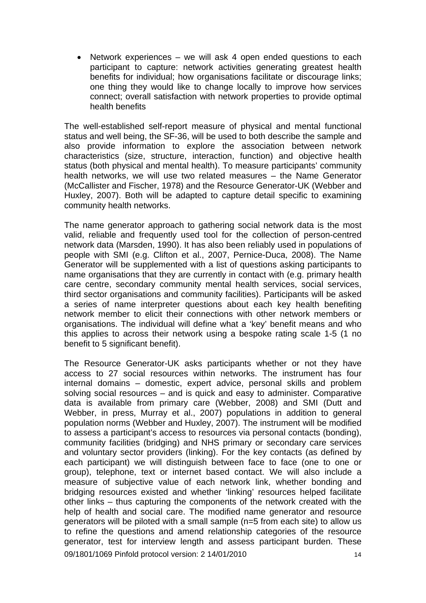Network experiences – we will ask 4 open ended questions to each participant to capture: network activities generating greatest health benefits for individual; how organisations facilitate or discourage links; one thing they would like to change locally to improve how services connect; overall satisfaction with network properties to provide optimal health benefits

The well-established self-report measure of physical and mental functional status and well being, the SF-36, will be used to both describe the sample and also provide information to explore the association between network characteristics (size, structure, interaction, function) and objective health status (both physical and mental health). To measure participants' community health networks, we will use two related measures – the Name Generator (McCallister and Fischer, 1978) and the Resource Generator-UK (Webber and Huxley, 2007). Both will be adapted to capture detail specific to examining community health networks.

The name generator approach to gathering social network data is the most valid, reliable and frequently used tool for the collection of person-centred network data (Marsden, 1990). It has also been reliably used in populations of people with SMI (e.g. Clifton et al., 2007, Pernice-Duca, 2008). The Name Generator will be supplemented with a list of questions asking participants to name organisations that they are currently in contact with (e.g. primary health care centre, secondary community mental health services, social services, third sector organisations and community facilities). Participants will be asked a series of name interpreter questions about each key health benefiting network member to elicit their connections with other network members or organisations. The individual will define what a 'key' benefit means and who this applies to across their network using a bespoke rating scale 1-5 (1 no benefit to 5 significant benefit).

09/1801/1069 Pinfold protocol version: 2 14/01/2010 The Resource Generator-UK asks participants whether or not they have access to 27 social resources within networks. The instrument has four internal domains – domestic, expert advice, personal skills and problem solving social resources – and is quick and easy to administer. Comparative data is available from primary care (Webber, 2008) and SMI (Dutt and Webber, in press, Murray et al., 2007) populations in addition to general population norms (Webber and Huxley, 2007). The instrument will be modified to assess a participant's access to resources via personal contacts (bonding), community facilities (bridging) and NHS primary or secondary care services and voluntary sector providers (linking). For the key contacts (as defined by each participant) we will distinguish between face to face (one to one or group), telephone, text or internet based contact. We will also include a measure of subjective value of each network link, whether bonding and bridging resources existed and whether 'linking' resources helped facilitate other links – thus capturing the components of the network created with the help of health and social care. The modified name generator and resource generators will be piloted with a small sample (n=5 from each site) to allow us to refine the questions and amend relationship categories of the resource generator, test for interview length and assess participant burden. These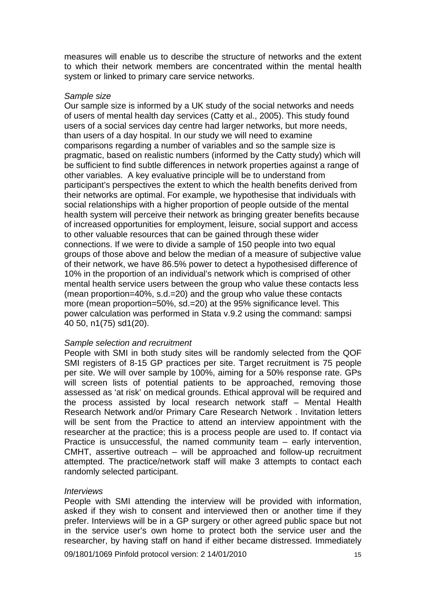measures will enable us to describe the structure of networks and the extent to which their network members are concentrated within the mental health system or linked to primary care service networks.

#### *Sample size*

Our sample size is informed by a UK study of the social networks and needs of users of mental health day services (Catty et al., 2005). This study found users of a social services day centre had larger networks, but more needs, than users of a day hospital. In our study we will need to examine comparisons regarding a number of variables and so the sample size is pragmatic, based on realistic numbers (informed by the Catty study) which will be sufficient to find subtle differences in network properties against a range of other variables. A key evaluative principle will be to understand from participant's perspectives the extent to which the health benefits derived from their networks are optimal. For example, we hypothesise that individuals with social relationships with a higher proportion of people outside of the mental health system will perceive their network as bringing greater benefits because of increased opportunities for employment, leisure, social support and access to other valuable resources that can be gained through these wider connections. If we were to divide a sample of 150 people into two equal groups of those above and below the median of a measure of subjective value of their network, we have 86.5% power to detect a hypothesised difference of 10% in the proportion of an individual's network which is comprised of other mental health service users between the group who value these contacts less (mean proportion=40%, s.d.=20) and the group who value these contacts more (mean proportion=50%, sd.=20) at the 95% significance level. This power calculation was performed in Stata v.9.2 using the command: sampsi 40 50, n1(75) sd1(20).

#### *Sample selection and recruitment*

People with SMI in both study sites will be randomly selected from the QOF SMI registers of 8-15 GP practices per site. Target recruitment is 75 people per site. We will over sample by 100%, aiming for a 50% response rate. GPs will screen lists of potential patients to be approached, removing those assessed as 'at risk' on medical grounds. Ethical approval will be required and the process assisted by local research network staff – Mental Health Research Network and/or Primary Care Research Network . Invitation letters will be sent from the Practice to attend an interview appointment with the researcher at the practice; this is a process people are used to. If contact via Practice is unsuccessful, the named community team – early intervention, CMHT, assertive outreach – will be approached and follow-up recruitment attempted. The practice/network staff will make 3 attempts to contact each randomly selected participant.

### *Interviews*

People with SMI attending the interview will be provided with information, asked if they wish to consent and interviewed then or another time if they prefer. Interviews will be in a GP surgery or other agreed public space but not in the service user's own home to protect both the service user and the researcher, by having staff on hand if either became distressed. Immediately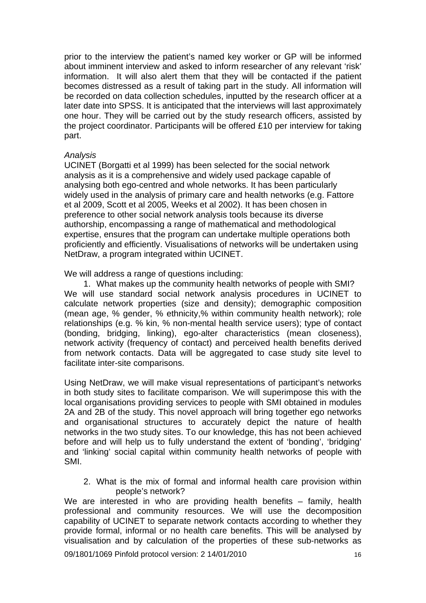prior to the interview the patient's named key worker or GP will be informed about imminent interview and asked to inform researcher of any relevant 'risk' information. It will also alert them that they will be contacted if the patient becomes distressed as a result of taking part in the study. All information will be recorded on data collection schedules, inputted by the research officer at a later date into SPSS. It is anticipated that the interviews will last approximately one hour. They will be carried out by the study research officers, assisted by the project coordinator. Participants will be offered £10 per interview for taking part.

### *Analysis*

UCINET (Borgatti et al 1999) has been selected for the social network analysis as it is a comprehensive and widely used package capable of analysing both ego-centred and whole networks. It has been particularly widely used in the analysis of primary care and health networks (e.g. Fattore et al 2009, Scott et al 2005, Weeks et al 2002). It has been chosen in preference to other social network analysis tools because its diverse authorship, encompassing a range of mathematical and methodological expertise, ensures that the program can undertake multiple operations both proficiently and efficiently. Visualisations of networks will be undertaken using NetDraw, a program integrated within UCINET.

We will address a range of questions including:

1. What makes up the community health networks of people with SMI? We will use standard social network analysis procedures in UCINET to calculate network properties (size and density); demographic composition (mean age, % gender, % ethnicity,% within community health network); role relationships (e.g. % kin, % non-mental health service users); type of contact (bonding, bridging, linking), ego-alter characteristics (mean closeness), network activity (frequency of contact) and perceived health benefits derived from network contacts. Data will be aggregated to case study site level to facilitate inter-site comparisons.

Using NetDraw, we will make visual representations of participant's networks in both study sites to facilitate comparison. We will superimpose this with the local organisations providing services to people with SMI obtained in modules 2A and 2B of the study. This novel approach will bring together ego networks and organisational structures to accurately depict the nature of health networks in the two study sites. To our knowledge, this has not been achieved before and will help us to fully understand the extent of 'bonding', 'bridging' and 'linking' social capital within community health networks of people with SMI.

2. What is the mix of formal and informal health care provision within people's network?

We are interested in who are providing health benefits – family, health professional and community resources. We will use the decomposition capability of UCINET to separate network contacts according to whether they provide formal, informal or no health care benefits. This will be analysed by visualisation and by calculation of the properties of these sub-networks as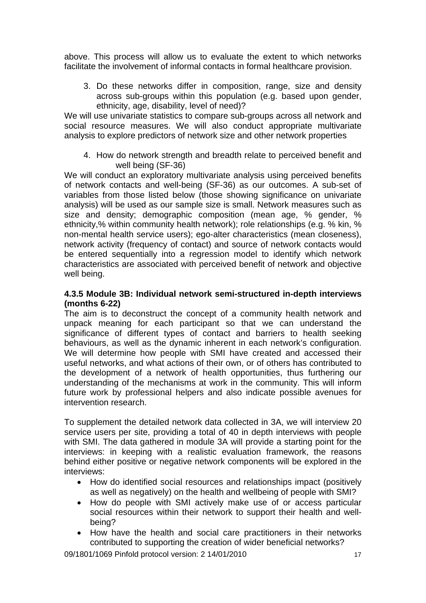above. This process will allow us to evaluate the extent to which networks facilitate the involvement of informal contacts in formal healthcare provision.

3. Do these networks differ in composition, range, size and density across sub-groups within this population (e.g. based upon gender, ethnicity, age, disability, level of need)?

We will use univariate statistics to compare sub-groups across all network and social resource measures. We will also conduct appropriate multivariate analysis to explore predictors of network size and other network properties

4. How do network strength and breadth relate to perceived benefit and well being (SF-36)

We will conduct an exploratory multivariate analysis using perceived benefits of network contacts and well-being (SF-36) as our outcomes. A sub-set of variables from those listed below (those showing significance on univariate analysis) will be used as our sample size is small. Network measures such as size and density; demographic composition (mean age, % gender, % ethnicity,% within community health network); role relationships (e.g. % kin, % non-mental health service users); ego-alter characteristics (mean closeness), network activity (frequency of contact) and source of network contacts would be entered sequentially into a regression model to identify which network characteristics are associated with perceived benefit of network and objective well being.

### **4.3.5 Module 3B: Individual network semi-structured in-depth interviews (months 6-22)**

The aim is to deconstruct the concept of a community health network and unpack meaning for each participant so that we can understand the significance of different types of contact and barriers to health seeking behaviours, as well as the dynamic inherent in each network's configuration. We will determine how people with SMI have created and accessed their useful networks, and what actions of their own, or of others has contributed to the development of a network of health opportunities, thus furthering our understanding of the mechanisms at work in the community. This will inform future work by professional helpers and also indicate possible avenues for intervention research.

To supplement the detailed network data collected in 3A, we will interview 20 service users per site, providing a total of 40 in depth interviews with people with SMI. The data gathered in module 3A will provide a starting point for the interviews: in keeping with a realistic evaluation framework, the reasons behind either positive or negative network components will be explored in the interviews:

- How do identified social resources and relationships impact (positively as well as negatively) on the health and wellbeing of people with SMI?
- How do people with SMI actively make use of or access particular social resources within their network to support their health and wellbeing?
- How have the health and social care practitioners in their networks contributed to supporting the creation of wider beneficial networks?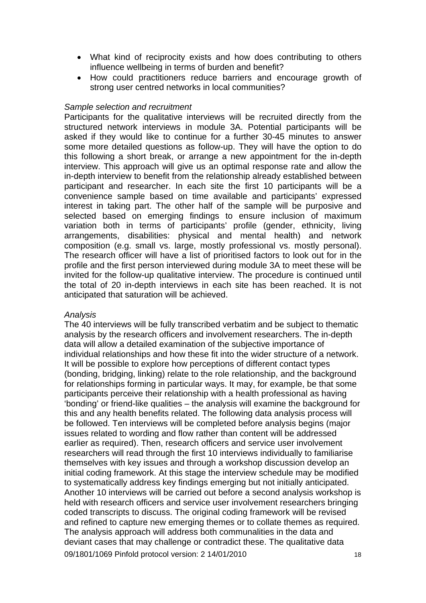- What kind of reciprocity exists and how does contributing to others influence wellbeing in terms of burden and benefit?
- How could practitioners reduce barriers and encourage growth of strong user centred networks in local communities?

### *Sample selection and recruitment*

Participants for the qualitative interviews will be recruited directly from the structured network interviews in module 3A. Potential participants will be asked if they would like to continue for a further 30-45 minutes to answer some more detailed questions as follow-up. They will have the option to do this following a short break, or arrange a new appointment for the in-depth interview. This approach will give us an optimal response rate and allow the in-depth interview to benefit from the relationship already established between participant and researcher. In each site the first 10 participants will be a convenience sample based on time available and participants' expressed interest in taking part. The other half of the sample will be purposive and selected based on emerging findings to ensure inclusion of maximum variation both in terms of participants' profile (gender, ethnicity, living arrangements, disabilities: physical and mental health) and network composition (e.g. small vs. large, mostly professional vs. mostly personal). The research officer will have a list of prioritised factors to look out for in the profile and the first person interviewed during module 3A to meet these will be invited for the follow-up qualitative interview. The procedure is continued until the total of 20 in-depth interviews in each site has been reached. It is not anticipated that saturation will be achieved.

### *Analysis*

09/1801/1069 Pinfold protocol version: 2 14/01/2010 The 40 interviews will be fully transcribed verbatim and be subject to thematic analysis by the research officers and involvement researchers. The in-depth data will allow a detailed examination of the subjective importance of individual relationships and how these fit into the wider structure of a network. It will be possible to explore how perceptions of different contact types (bonding, bridging, linking) relate to the role relationship, and the background for relationships forming in particular ways. It may, for example, be that some participants perceive their relationship with a health professional as having 'bonding' or friend-like qualities – the analysis will examine the background for this and any health benefits related. The following data analysis process will be followed. Ten interviews will be completed before analysis begins (major issues related to wording and flow rather than content will be addressed earlier as required). Then, research officers and service user involvement researchers will read through the first 10 interviews individually to familiarise themselves with key issues and through a workshop discussion develop an initial coding framework. At this stage the interview schedule may be modified to systematically address key findings emerging but not initially anticipated. Another 10 interviews will be carried out before a second analysis workshop is held with research officers and service user involvement researchers bringing coded transcripts to discuss. The original coding framework will be revised and refined to capture new emerging themes or to collate themes as required. The analysis approach will address both communalities in the data and deviant cases that may challenge or contradict these. The qualitative data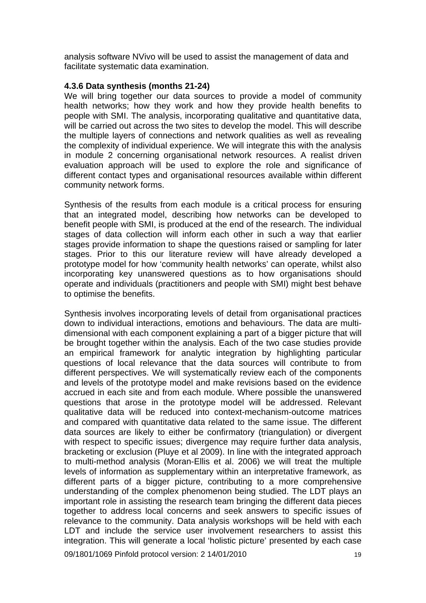analysis software NVivo will be used to assist the management of data and facilitate systematic data examination.

### **4.3.6 Data synthesis (months 21-24)**

We will bring together our data sources to provide a model of community health networks; how they work and how they provide health benefits to people with SMI. The analysis, incorporating qualitative and quantitative data, will be carried out across the two sites to develop the model. This will describe the multiple layers of connections and network qualities as well as revealing the complexity of individual experience. We will integrate this with the analysis in module 2 concerning organisational network resources. A realist driven evaluation approach will be used to explore the role and significance of different contact types and organisational resources available within different community network forms.

Synthesis of the results from each module is a critical process for ensuring that an integrated model, describing how networks can be developed to benefit people with SMI, is produced at the end of the research. The individual stages of data collection will inform each other in such a way that earlier stages provide information to shape the questions raised or sampling for later stages. Prior to this our literature review will have already developed a prototype model for how 'community health networks' can operate, whilst also incorporating key unanswered questions as to how organisations should operate and individuals (practitioners and people with SMI) might best behave to optimise the benefits.

Synthesis involves incorporating levels of detail from organisational practices down to individual interactions, emotions and behaviours. The data are multidimensional with each component explaining a part of a bigger picture that will be brought together within the analysis. Each of the two case studies provide an empirical framework for analytic integration by highlighting particular questions of local relevance that the data sources will contribute to from different perspectives. We will systematically review each of the components and levels of the prototype model and make revisions based on the evidence accrued in each site and from each module. Where possible the unanswered questions that arose in the prototype model will be addressed. Relevant qualitative data will be reduced into context-mechanism-outcome matrices and compared with quantitative data related to the same issue. The different data sources are likely to either be confirmatory (triangulation) or divergent with respect to specific issues; divergence may require further data analysis, bracketing or exclusion (Pluye et al 2009). In line with the integrated approach to multi-method analysis (Moran-Ellis et al. 2006) we will treat the multiple levels of information as supplementary within an interpretative framework, as different parts of a bigger picture, contributing to a more comprehensive understanding of the complex phenomenon being studied. The LDT plays an important role in assisting the research team bringing the different data pieces together to address local concerns and seek answers to specific issues of relevance to the community. Data analysis workshops will be held with each LDT and include the service user involvement researchers to assist this integration. This will generate a local 'holistic picture' presented by each case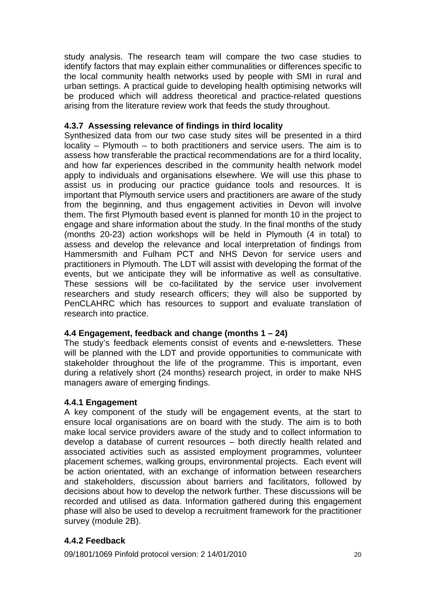study analysis. The research team will compare the two case studies to identify factors that may explain either communalities or differences specific to the local community health networks used by people with SMI in rural and urban settings. A practical guide to developing health optimising networks will be produced which will address theoretical and practice-related questions arising from the literature review work that feeds the study throughout.

# **4.3.7 Assessing relevance of findings in third locality**

Synthesized data from our two case study sites will be presented in a third locality – Plymouth – to both practitioners and service users. The aim is to assess how transferable the practical recommendations are for a third locality, and how far experiences described in the community health network model apply to individuals and organisations elsewhere. We will use this phase to assist us in producing our practice guidance tools and resources. It is important that Plymouth service users and practitioners are aware of the study from the beginning, and thus engagement activities in Devon will involve them. The first Plymouth based event is planned for month 10 in the project to engage and share information about the study. In the final months of the study (months 20-23) action workshops will be held in Plymouth (4 in total) to assess and develop the relevance and local interpretation of findings from Hammersmith and Fulham PCT and NHS Devon for service users and practitioners in Plymouth. The LDT will assist with developing the format of the events, but we anticipate they will be informative as well as consultative. These sessions will be co-facilitated by the service user involvement researchers and study research officers; they will also be supported by PenCLAHRC which has resources to support and evaluate translation of research into practice.

# **4.4 Engagement, feedback and change (months 1 – 24)**

The study's feedback elements consist of events and e-newsletters. These will be planned with the LDT and provide opportunities to communicate with stakeholder throughout the life of the programme. This is important, even during a relatively short (24 months) research project, in order to make NHS managers aware of emerging findings.

# **4.4.1 Engagement**

A key component of the study will be engagement events, at the start to ensure local organisations are on board with the study. The aim is to both make local service providers aware of the study and to collect information to develop a database of current resources – both directly health related and associated activities such as assisted employment programmes, volunteer placement schemes, walking groups, environmental projects. Each event will be action orientated, with an exchange of information between researchers and stakeholders, discussion about barriers and facilitators, followed by decisions about how to develop the network further. These discussions will be recorded and utilised as data. Information gathered during this engagement phase will also be used to develop a recruitment framework for the practitioner survey (module 2B).

# **4.4.2 Feedback**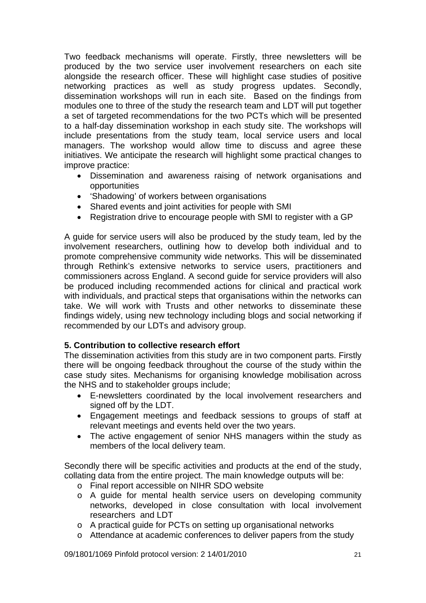Two feedback mechanisms will operate. Firstly, three newsletters will be produced by the two service user involvement researchers on each site alongside the research officer. These will highlight case studies of positive networking practices as well as study progress updates. Secondly, dissemination workshops will run in each site. Based on the findings from modules one to three of the study the research team and LDT will put together a set of targeted recommendations for the two PCTs which will be presented to a half-day dissemination workshop in each study site. The workshops will include presentations from the study team, local service users and local managers. The workshop would allow time to discuss and agree these initiatives. We anticipate the research will highlight some practical changes to improve practice:

- Dissemination and awareness raising of network organisations and opportunities
- 'Shadowing' of workers between organisations
- Shared events and joint activities for people with SMI
- Registration drive to encourage people with SMI to register with a GP

A guide for service users will also be produced by the study team, led by the involvement researchers, outlining how to develop both individual and to promote comprehensive community wide networks. This will be disseminated through Rethink's extensive networks to service users, practitioners and commissioners across England. A second guide for service providers will also be produced including recommended actions for clinical and practical work with individuals, and practical steps that organisations within the networks can take. We will work with Trusts and other networks to disseminate these findings widely, using new technology including blogs and social networking if recommended by our LDTs and advisory group.

### **5. Contribution to collective research effort**

The dissemination activities from this study are in two component parts. Firstly there will be ongoing feedback throughout the course of the study within the case study sites. Mechanisms for organising knowledge mobilisation across the NHS and to stakeholder groups include;

- E-newsletters coordinated by the local involvement researchers and signed off by the LDT.
- Engagement meetings and feedback sessions to groups of staff at relevant meetings and events held over the two years.
- The active engagement of senior NHS managers within the study as members of the local delivery team.

Secondly there will be specific activities and products at the end of the study, collating data from the entire project. The main knowledge outputs will be:

- o Final report accessible on NIHR SDO website
- o A guide for mental health service users on developing community networks, developed in close consultation with local involvement researchers and LDT
- o A practical guide for PCTs on setting up organisational networks
- o Attendance at academic conferences to deliver papers from the study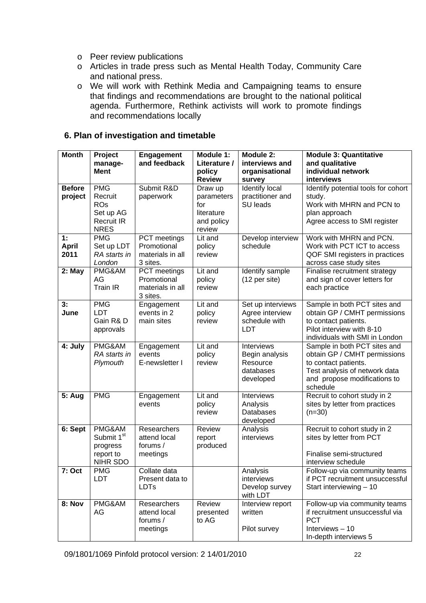- o Peer review publications
- o Articles in trade press such as Mental Health Today, Community Care and national press.
- o We will work with Rethink Media and Campaigning teams to ensure that findings and recommendations are brought to the national political agenda. Furthermore, Rethink activists will work to promote findings and recommendations locally

## **6. Plan of investigation and timetable**

| <b>Month</b>  | Project                        | <b>Engagement</b>    | Module 1:         | Module 2:              | <b>Module 3: Quantitative</b>                                  |
|---------------|--------------------------------|----------------------|-------------------|------------------------|----------------------------------------------------------------|
|               | manage-                        | and feedback         | Literature /      | interviews and         | and qualitative                                                |
|               | <b>Ment</b>                    |                      | policy            | organisational         | individual network                                             |
|               |                                |                      | <b>Review</b>     | survey                 | interviews                                                     |
| <b>Before</b> | <b>PMG</b>                     | Submit R&D           | Draw up           | Identify local         | Identify potential tools for cohort                            |
| project       | Recruit                        | paperwork            | parameters        | practitioner and       | study.                                                         |
|               | <b>ROs</b>                     |                      | for<br>literature | SU leads               | Work with MHRN and PCN to                                      |
|               | Set up AG<br><b>Recruit IR</b> |                      | and policy        |                        | plan approach<br>Agree access to SMI register                  |
|               | <b>NRES</b>                    |                      | review            |                        |                                                                |
| 1:            | <b>PMG</b>                     | PCT meetings         | Lit and           | Develop interview      | Work with MHRN and PCN.                                        |
| <b>April</b>  | Set up LDT                     | Promotional          | policy            | schedule               | Work with PCT ICT to access                                    |
| 2011          | RA starts in                   | materials in all     | review            |                        | QOF SMI registers in practices                                 |
|               | London                         | 3 sites.             |                   |                        | across case study sites                                        |
| 2: May        | PMG&AM                         | PCT meetings         | Lit and           | Identify sample        | Finalise recruitment strategy                                  |
|               | AG                             | Promotional          | policy            | (12 per site)          | and sign of cover letters for                                  |
|               | <b>Train IR</b>                | materials in all     | review            |                        | each practice                                                  |
|               |                                | 3 sites.             |                   |                        |                                                                |
| 3:            | <b>PMG</b>                     | Engagement           | Lit and           | Set up interviews      | Sample in both PCT sites and                                   |
| June          | <b>LDT</b>                     | events in 2          | policy            | Agree interview        | obtain GP / CMHT permissions                                   |
|               | Gain R&D                       | main sites           | review            | schedule with          | to contact patients.                                           |
|               | approvals                      |                      |                   | <b>LDT</b>             | Pilot interview with 8-10                                      |
|               | PMG&AM                         |                      | Lit and           | Interviews             | individuals with SMI in London<br>Sample in both PCT sites and |
| 4: July       | RA starts in                   | Engagement<br>events |                   | Begin analysis         | obtain GP / CMHT permissions                                   |
|               | Plymouth                       | E-newsletter I       | policy<br>review  | Resource               | to contact patients.                                           |
|               |                                |                      |                   | databases              | Test analysis of network data                                  |
|               |                                |                      |                   | developed              | and propose modifications to                                   |
|               |                                |                      |                   |                        | schedule                                                       |
| <b>5: Aug</b> | <b>PMG</b>                     | Engagement           | Lit and           | Interviews             | Recruit to cohort study in 2                                   |
|               |                                | events               | policy            | Analysis               | sites by letter from practices                                 |
|               |                                |                      | review            | Databases              | $(n=30)$                                                       |
|               |                                |                      |                   | developed              |                                                                |
| 6: Sept       | PMG&AM                         | Researchers          | Review            | Analysis               | Recruit to cohort study in 2                                   |
|               | Submit 1 <sup>st</sup>         | attend local         | report            | interviews             | sites by letter from PCT                                       |
|               | progress                       | forums /             | produced          |                        |                                                                |
|               | report to                      | meetings             |                   |                        | Finalise semi-structured                                       |
| 7: Oct        | NIHR SDO<br><b>PMG</b>         | Collate data         |                   |                        | interview schedule<br>Follow-up via community teams            |
|               | <b>LDT</b>                     | Present data to      |                   | Analysis<br>interviews | if PCT recruitment unsuccessful                                |
|               |                                | <b>LDTs</b>          |                   | Develop survey         | Start interviewing - 10                                        |
|               |                                |                      |                   | with LDT               |                                                                |
| 8: Nov        | PMG&AM                         | Researchers          | Review            | Interview report       | Follow-up via community teams                                  |
|               | AG                             | attend local         | presented         | written                | if recruitment unsuccessful via                                |
|               |                                | forums /             | to AG             |                        | <b>PCT</b>                                                     |
|               |                                | meetings             |                   | Pilot survey           | Interviews $-10$                                               |
|               |                                |                      |                   |                        | In-depth interviews 5                                          |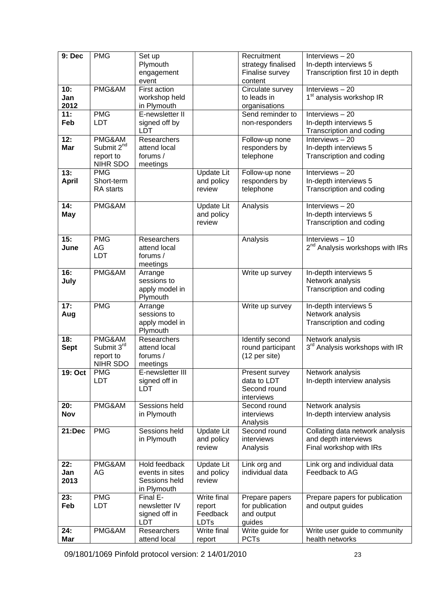| 9: Dec       | <b>PMG</b>             |                             |                       | Recruitment                    | Interviews-20                                    |
|--------------|------------------------|-----------------------------|-----------------------|--------------------------------|--------------------------------------------------|
|              |                        | Set up                      |                       |                                |                                                  |
|              |                        | Plymouth                    |                       | strategy finalised             | In-depth interviews 5                            |
|              |                        | engagement                  |                       | Finalise survey                | Transcription first 10 in depth                  |
|              |                        | event                       |                       | content                        |                                                  |
| 10:          | PMG&AM                 | First action                |                       | Circulate survey               | Interviews $-20$                                 |
| Jan          |                        | workshop held               |                       | to leads in                    | 1 <sup>st</sup> analysis workshop IR             |
| 2012         |                        | in Plymouth                 |                       | organisations                  |                                                  |
| 11:          | <b>PMG</b>             | E-newsletter II             |                       | Send reminder to               | Interviews $-20$                                 |
| Feb          | <b>LDT</b>             | signed off by               |                       | non-responders                 | In-depth interviews 5                            |
|              |                        | <b>LDT</b>                  |                       |                                |                                                  |
|              |                        | Researchers                 |                       |                                | Transcription and coding<br>Interviews-20        |
| 12:          | PMG&AM                 |                             |                       | Follow-up none                 |                                                  |
| Mar          | Submit 2 <sup>nd</sup> | attend local                |                       | responders by                  | In-depth interviews 5                            |
|              | report to              | forums /                    |                       | telephone                      | Transcription and coding                         |
|              | NIHR SDO               | meetings                    |                       |                                |                                                  |
| 13:          | <b>PMG</b>             |                             | <b>Update Lit</b>     | Follow-up none                 | Interviews $-20$                                 |
| <b>April</b> | Short-term             |                             | and policy            | responders by                  | In-depth interviews 5                            |
|              | RA starts              |                             | review                | telephone                      | Transcription and coding                         |
|              |                        |                             |                       |                                |                                                  |
| 14:          | PMG&AM                 |                             | <b>Update Lit</b>     | Analysis                       | Interviews-20                                    |
| <b>May</b>   |                        |                             | and policy            |                                | In-depth interviews 5                            |
|              |                        |                             |                       |                                |                                                  |
|              |                        |                             | review                |                                | Transcription and coding                         |
|              |                        |                             |                       |                                |                                                  |
| 15:          | <b>PMG</b>             | Researchers                 |                       | Analysis                       | Interviews $-10$                                 |
| June         | AG                     | attend local                |                       |                                | 2 <sup>nd</sup> Analysis workshops with IRs      |
|              | LDT                    | forums /                    |                       |                                |                                                  |
|              |                        | meetings                    |                       |                                |                                                  |
| 16:          | PMG&AM                 | Arrange                     |                       | Write up survey                | In-depth interviews 5                            |
| July         |                        | sessions to                 |                       |                                | Network analysis                                 |
|              |                        | apply model in              |                       |                                | Transcription and coding                         |
|              |                        | Plymouth                    |                       |                                |                                                  |
| 17:          | <b>PMG</b>             | Arrange                     |                       | Write up survey                | In-depth interviews 5                            |
|              |                        |                             |                       |                                |                                                  |
| Aug          |                        | sessions to                 |                       |                                | Network analysis                                 |
|              |                        | apply model in              |                       |                                | Transcription and coding                         |
|              |                        | Plymouth                    |                       |                                |                                                  |
| 18:          | PMG&AM                 | Researchers                 |                       | Identify second                | Network analysis                                 |
| <b>Sept</b>  | Submit 3rd             | attend local                |                       | round participant              | 3 <sup>rd</sup> Analysis workshops with IR       |
|              | report to              | forums /                    |                       | (12 per site)                  |                                                  |
|              | NIHR SDO               | meetings                    |                       |                                |                                                  |
| 19: Oct      | <b>PMG</b>             | E-newsletter III            |                       | Present survey                 | Network analysis                                 |
|              | LDT                    | signed off in               |                       | data to LDT                    | In-depth interview analysis                      |
|              |                        | LDT                         |                       | Second round                   |                                                  |
|              |                        |                             |                       | interviews                     |                                                  |
| 20:          | PMG&AM                 | Sessions held               |                       | Second round                   | Network analysis                                 |
|              |                        |                             |                       |                                |                                                  |
| <b>Nov</b>   |                        | in Plymouth                 |                       | interviews                     | In-depth interview analysis                      |
|              |                        |                             |                       | Analysis                       |                                                  |
| 21:Dec       | <b>PMG</b>             | Sessions held               | <b>Update Lit</b>     | Second round                   | Collating data network analysis                  |
|              |                        | in Plymouth                 | and policy            | interviews                     | and depth interviews                             |
|              |                        |                             | review                | Analysis                       | Final workshop with IRs                          |
|              |                        |                             |                       |                                |                                                  |
| 22:          | PMG&AM                 | Hold feedback               | <b>Update Lit</b>     | Link org and                   | Link org and individual data                     |
| Jan          | AG                     | events in sites             | and policy            | individual data                | Feedback to AG                                   |
| 2013         |                        | Sessions held               | review                |                                |                                                  |
|              |                        | in Plymouth                 |                       |                                |                                                  |
| 23:          | <b>PMG</b>             | Final E-                    | Write final           | Prepare papers                 | Prepare papers for publication                   |
|              |                        |                             |                       |                                |                                                  |
| Feb          | LDT                    | newsletter IV               | report                | for publication                | and output guides                                |
|              |                        | signed off in               | Feedback              | and output                     |                                                  |
|              |                        |                             |                       |                                |                                                  |
|              |                        | <b>LDT</b>                  | <b>LDTs</b>           | guides                         |                                                  |
| 24:<br>Mar   | PMG&AM                 | Researchers<br>attend local | Write final<br>report | Write guide for<br><b>PCTs</b> | Write user guide to community<br>health networks |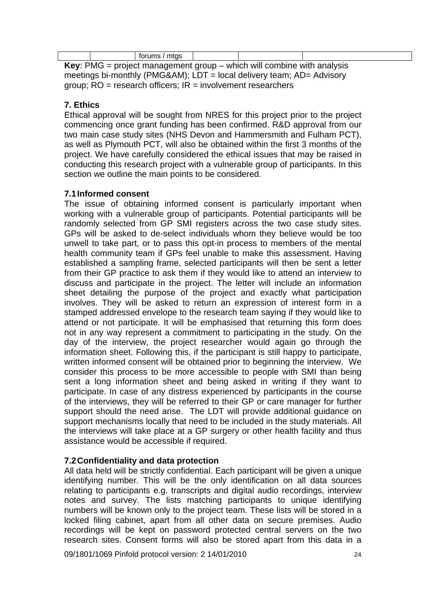|                                                                                 |  | forums / mtgs |  |  |  |  |
|---------------------------------------------------------------------------------|--|---------------|--|--|--|--|
| <b>Key:</b> PMG = project management group $-$ which will combine with analysis |  |               |  |  |  |  |

meetings bi-monthly (PMG&AM); LDT = local delivery team; AD= Advisory group; RO = research officers; IR = involvement researchers

# **7. Ethics**

Ethical approval will be sought from NRES for this project prior to the project commencing once grant funding has been confirmed. R&D approval from our two main case study sites (NHS Devon and Hammersmith and Fulham PCT), as well as Plymouth PCT, will also be obtained within the first 3 months of the project. We have carefully considered the ethical issues that may be raised in conducting this research project with a vulnerable group of participants. In this section we outline the main points to be considered.

# **7.1 Informed consent**

The issue of obtaining informed consent is particularly important when working with a vulnerable group of participants. Potential participants will be randomly selected from GP SMI registers across the two case study sites. GPs will be asked to de-select individuals whom they believe would be too unwell to take part, or to pass this opt-in process to members of the mental health community team if GPs feel unable to make this assessment. Having established a sampling frame, selected participants will then be sent a letter from their GP practice to ask them if they would like to attend an interview to discuss and participate in the project. The letter will include an information sheet detailing the purpose of the project and exactly what participation involves. They will be asked to return an expression of interest form in a stamped addressed envelope to the research team saying if they would like to attend or not participate. It will be emphasised that returning this form does not in any way represent a commitment to participating in the study. On the day of the interview, the project researcher would again go through the information sheet. Following this, if the participant is still happy to participate, written informed consent will be obtained prior to beginning the interview. We consider this process to be more accessible to people with SMI than being sent a long information sheet and being asked in writing if they want to participate. In case of any distress experienced by participants in the course of the interviews, they will be referred to their GP or care manager for further support should the need arise. The LDT will provide additional guidance on support mechanisms locally that need to be included in the study materials. All the interviews will take place at a GP surgery or other health facility and thus assistance would be accessible if required.

# **7.2 Confidentiality and data protection**

All data held will be strictly confidential. Each participant will be given a unique identifying number. This will be the only identification on all data sources relating to participants e.g. transcripts and digital audio recordings, interview notes and survey. The lists matching participants to unique identifying numbers will be known only to the project team. These lists will be stored in a locked filing cabinet, apart from all other data on secure premises. Audio recordings will be kept on password protected central servers on the two research sites. Consent forms will also be stored apart from this data in a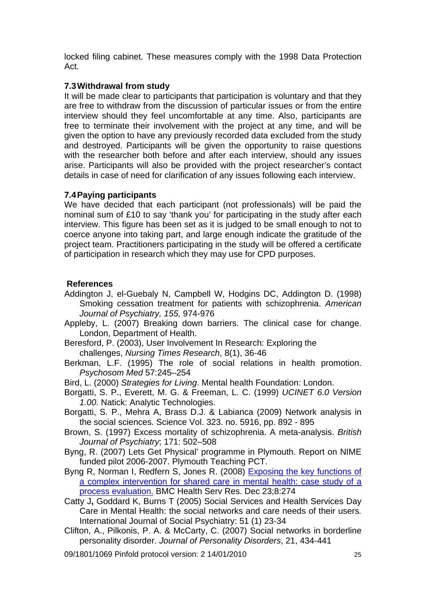locked filing cabinet. These measures comply with the 1998 Data Protection Act.

## **7.3 Withdrawal from study**

It will be made clear to participants that participation is voluntary and that they are free to withdraw from the discussion of particular issues or from the entire interview should they feel uncomfortable at any time. Also, participants are free to terminate their involvement with the project at any time, and will be given the option to have any previously recorded data excluded from the study and destroyed. Participants will be given the opportunity to raise questions with the researcher both before and after each interview, should any issues arise. Participants will also be provided with the project researcher's contact details in case of need for clarification of any issues following each interview.

## **7.4 Paying participants**

We have decided that each participant (not professionals) will be paid the nominal sum of £10 to say 'thank you' for participating in the study after each interview. This figure has been set as it is judged to be small enough to not to coerce anyone into taking part, and large enough indicate the gratitude of the project team. Practitioners participating in the study will be offered a certificate of participation in research which they may use for CPD purposes.

## **References**

- Addington J, el-Guebaly N, Campbell W, Hodgins DC, Addington D. (1998) Smoking cessation treatment for patients with schizophrenia. *American Journal of Psychiatry, 155,* 974-976
- Appleby, L. (2007) Breaking down barriers. The clinical case for change. London, Department of Health.
- Beresford, P. (2003), User Involvement In Research: Exploring the challenges, *Nursing Times Research*, 8(1), 36-46
- Berkman, L.F. (1995) The role of social relations in health promotion. *Psychosom Med* 57:245–254
- Bird, L. (2000) *Strategies for Living*. Mental health Foundation: London.
- Borgatti, S. P., Everett, M. G. & Freeman, L. C. (1999) *UCINET 6.0 Version 1.00*. Natick: Analytic Technologies.
- Borgatti, S. P., Mehra A, Brass D.J. & Labianca (2009) Network analysis in the social sciences. Science Vol. 323. no. 5916, pp. 892 - 895
- Brown, S. (1997) Excess mortality of schizophrenia. A meta-analysis. *British Journal of Psychiatry*; 171: 502–508
- Byng, R. (2007) Lets Get Physical' programme in Plymouth. Report on NIME funded pilot 2006-2007. Plymouth Teaching PCT.
- Byng R, Norman I, Redfern S, Jones R. (2008) Exposing the key functions of a complex intervention for shared care in mental health: case study of a process evaluation. BMC Health Serv Res. Dec 23;8:274
- Catty J**,** Goddard K, Burns T (2005) Social Services and Health Services Day Care in Mental Health: the social networks and care needs of their users*.*  International Journal of Social Psychiatry: 51 (1) 23-34
- Clifton, A., Pilkonis, P. A. & McCarty, C. (2007) Social networks in borderline personality disorder. *Journal of Personality Disorders*, 21, 434-441
- 09/1801/1069 Pinfold protocol version: 2 14/01/2010 25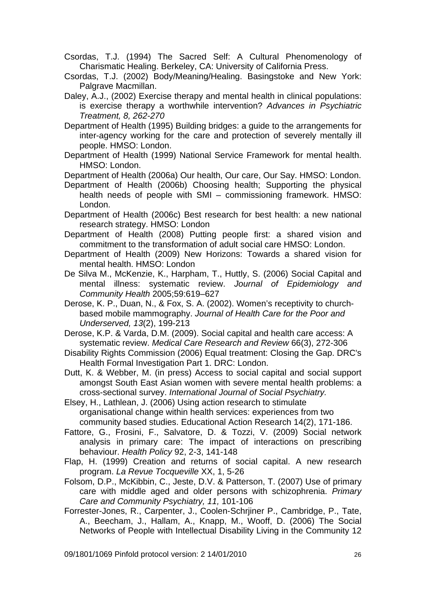Csordas, T.J. (1994) The Sacred Self: A Cultural Phenomenology of Charismatic Healing. Berkeley, CA: University of California Press.

Csordas, T.J. (2002) Body/Meaning/Healing. Basingstoke and New York: Palgrave Macmillan.

Daley, A.J., (2002) Exercise therapy and mental health in clinical populations: is exercise therapy a worthwhile intervention? *Advances in Psychiatric Treatment, 8, 262-270* 

Department of Health (1995) Building bridges: a guide to the arrangements for inter-agency working for the care and protection of severely mentally ill people. HMSO: London.

Department of Health (1999) National Service Framework for mental health. HMSO: London.

Department of Health (2006a) Our health, Our care, Our Say. HMSO: London.

Department of Health (2006b) Choosing health; Supporting the physical health needs of people with SMI – commissioning framework. HMSO: London.

- Department of Health (2006c) Best research for best health: a new national research strategy. HMSO: London
- Department of Health (2008) Putting people first: a shared vision and commitment to the transformation of adult social care HMSO: London.
- Department of Health (2009) New Horizons: Towards a shared vision for mental health. HMSO: London

De Silva M., McKenzie, K., Harpham, T., Huttly, S. (2006) Social Capital and mental illness: systematic review. *Journal of Epidemiology and Community Health* 2005;59:619–627

Derose, K. P., Duan, N., & Fox, S. A. (2002). Women's receptivity to churchbased mobile mammography. *Journal of Health Care for the Poor and Underserved, 13*(2), 199-213

Derose, K.P. & Varda, D.M. (2009). Social capital and health care access: A systematic review. *Medical Care Research and Review* 66(3), 272-306

Disability Rights Commission (2006) Equal treatment: Closing the Gap. DRC's Health Formal Investigation Part 1. DRC: London.

Dutt, K. & Webber, M. (in press) Access to social capital and social support amongst South East Asian women with severe mental health problems: a cross-sectional survey. *International Journal of Social Psychiatry.* 

Elsey, H., Lathlean, J. (2006) Using action research to stimulate organisational change within health services: experiences from two community based studies. Educational Action Research 14(2), 171-186.

Fattore, G., Frosini, F., Salvatore, D. & Tozzi, V. (2009) Social network analysis in primary care: The impact of interactions on prescribing behaviour. *Health Policy* 92, 2-3, 141-148

Flap, H. (1999) Creation and returns of social capital. A new research program. *La Revue Tocqueville* XX, 1, 5-26

Folsom, D.P., McKibbin, C., Jeste, D.V. & Patterson, T. (2007) Use of primary care with middle aged and older persons with schizophrenia. *Primary Care and Community Psychiatry, 11,* 101-106

Forrester-Jones, R., Carpenter, J., Coolen-Schrjiner P., Cambridge, P., Tate, A., Beecham, J., Hallam, A., Knapp, M., Wooff, D. (2006) The Social Networks of People with Intellectual Disability Living in the Community 12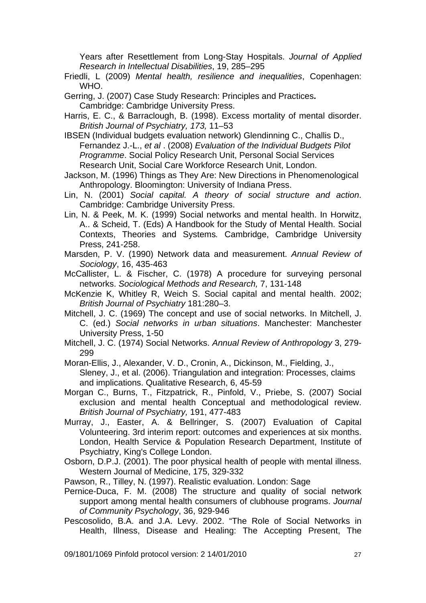Years after Resettlement from Long-Stay Hospitals. *Journal of Applied Research in Intellectual Disabilities*, 19, 285–295

Friedli, L (2009) *Mental health, resilience and inequalities*, Copenhagen: WHO.

Gerring, J. (2007) Case Study Research: Principles and Practices**.**  Cambridge: Cambridge University Press.

Harris, E. C., & Barraclough, B. (1998). Excess mortality of mental disorder. *British Journal of Psychiatry, 173,* 11–53

IBSEN (Individual budgets evaluation network) Glendinning C., Challis D., Fernandez J.-L., *et al* . (2008) *Evaluation of the Individual Budgets Pilot Programme*. Social Policy Research Unit, Personal Social Services Research Unit, Social Care Workforce Research Unit, London.

Jackson, M. (1996) Things as They Are: New Directions in Phenomenological Anthropology. Bloomington: University of Indiana Press.

- Lin, N. (2001) *Social capital. A theory of social structure and action*. Cambridge: Cambridge University Press.
- Lin, N. & Peek, M. K. (1999) Social networks and mental health. In Horwitz, A.. & Scheid, T. (Eds) A Handbook for the Study of Mental Health. Social Contexts, Theories and Systems*.* Cambridge, Cambridge University Press, 241-258.
- Marsden, P. V. (1990) Network data and measurement. *Annual Review of Sociology*, 16, 435-463

McCallister, L. & Fischer, C. (1978) A procedure for surveying personal networks. *Sociological Methods and Research,* 7, 131-148

McKenzie K, Whitley R, Weich S. Social capital and mental health. 2002; *British Journal of Psychiatry* 181:280–3.

Mitchell, J. C. (1969) The concept and use of social networks. In Mitchell, J. C. (ed.) *Social networks in urban situations*. Manchester: Manchester University Press, 1-50

Mitchell, J. C. (1974) Social Networks. *Annual Review of Anthropology* 3, 279- 299

Moran-Ellis, J., Alexander, V. D., Cronin, A., Dickinson, M., Fielding, J., Sleney, J., et al. (2006). Triangulation and integration: Processes, claims and implications. Qualitative Research, 6, 45-59

Morgan C., Burns, T., Fitzpatrick, R., Pinfold, V., Priebe, S. (2007) Social exclusion and mental health Conceptual and methodological review. *British Journal of Psychiatry,* 191, 477-483

Murray, J., Easter, A. & Bellringer, S. (2007) Evaluation of Capital Volunteering. 3rd interim report: outcomes and experiences at six months. London, Health Service & Population Research Department, Institute of Psychiatry, King's College London.

Osborn, D.P.J. (2001). The poor physical health of people with mental illness. Western Journal of Medicine, 175, 329-332

Pawson, R., Tilley, N. (1997). Realistic evaluation. London: Sage

Pernice-Duca, F. M. (2008) The structure and quality of social network support among mental health consumers of clubhouse programs. *Journal of Community Psychology*, 36, 929-946

Pescosolido, B.A. and J.A. Levy. 2002. "The Role of Social Networks in Health, Illness, Disease and Healing: The Accepting Present, The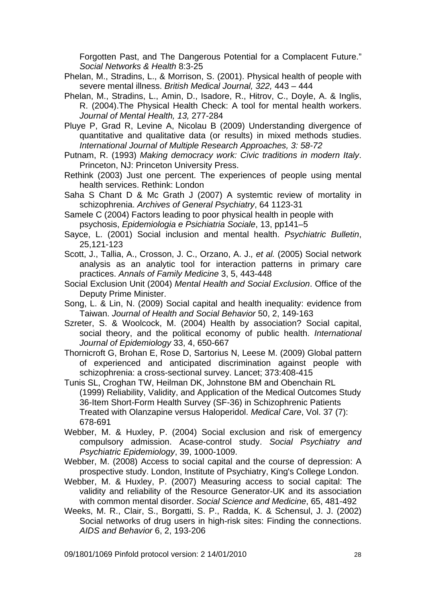Forgotten Past, and The Dangerous Potential for a Complacent Future." *Social Networks & Health* 8:3-25

- Phelan, M., Stradins, L., & Morrison, S. (2001). Physical health of people with severe mental illness. *British Medical Journal, 322,* 443 – 444
- Phelan, M., Stradins, L., Amin, D., Isadore, R., Hitrov, C., Doyle, A. & Inglis, R. (2004).The Physical Health Check: A tool for mental health workers. *Journal of Mental Health, 13,* 277-284
- Pluye P, Grad R, Levine A, Nicolau B (2009) Understanding divergence of quantitative and qualitative data (or results) in mixed methods studies. *International Journal of Multiple Research Approaches, 3: 58-72*
- Putnam, R. (1993) *Making democracy work: Civic traditions in modern Italy*. Princeton, NJ: Princeton University Press.
- Rethink (2003) Just one percent. The experiences of people using mental health services. Rethink: London
- Saha S Chant D & Mc Grath J (2007) A systemtic review of mortality in schizophrenia. *Archives of General Psychiatry*, 64 1123-31
- Samele C (2004) Factors leading to poor physical health in people with psychosis, *Epidemiologia e Psichiatria Sociale*, 13, pp141–5
- Sayce, L. (2001) Social inclusion and mental health. *Psychiatric Bulletin*, 25,121-123
- Scott, J., Tallia, A., Crosson, J. C., Orzano, A. J.*, et al.* (2005) Social network analysis as an analytic tool for interaction patterns in primary care practices. *Annals of Family Medicine* 3, 5, 443-448
- Social Exclusion Unit (2004) *Mental Health and Social Exclusion*. Office of the Deputy Prime Minister.
- Song, L. & Lin, N. (2009) Social capital and health inequality: evidence from Taiwan. *Journal of Health and Social Behavior* 50, 2, 149-163
- Szreter, S. & Woolcock, M. (2004) Health by association? Social capital, social theory, and the political economy of public health. *International Journal of Epidemiology* 33, 4, 650-667
- Thornicroft G, Brohan E, Rose D, Sartorius N, Leese M. (2009) Global pattern of experienced and anticipated discrimination against people with schizophrenia: a cross-sectional survey. Lancet; 373:408-415
- Tunis SL, Croghan TW, Heilman DK, Johnstone BM and Obenchain RL (1999) Reliability, Validity, and Application of the Medical Outcomes Study 36-Item Short-Form Health Survey (SF-36) in Schizophrenic Patients Treated with Olanzapine versus Haloperidol. *Medical Care*, Vol. 37 (7): 678-691
- Webber, M. & Huxley, P. (2004) Social exclusion and risk of emergency compulsory admission. Acase-control study. *Social Psychiatry and Psychiatric Epidemiology*, 39, 1000-1009.
- Webber, M. (2008) Access to social capital and the course of depression: A prospective study. London, Institute of Psychiatry, King's College London.
- Webber, M. & Huxley, P. (2007) Measuring access to social capital: The validity and reliability of the Resource Generator-UK and its association with common mental disorder. *Social Science and Medicine*, 65, 481-492
- Weeks, M. R., Clair, S., Borgatti, S. P., Radda, K. & Schensul, J. J. (2002) Social networks of drug users in high-risk sites: Finding the connections. *AIDS and Behavior* 6, 2, 193-206